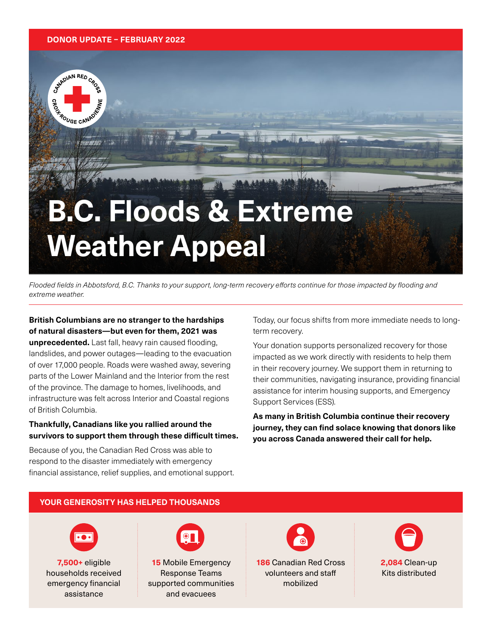#### **DONOR UPDATE – FEBRUARY 2022**

STANDIAN RED CROSS

**ROUGE CANAD** 

# **B.C. Floods & Extreme Weather Appeal**

Flooded fields in Abbotsford, B.C. Thanks to your support, long-term recovery efforts continue for those impacted by flooding and extreme weather.

**British Columbians are no stranger to the hardships of natural disasters—but even for them, 2021 was unprecedented.** Last fall, heavy rain caused flooding, landslides, and power outages—leading to the evacuation of over 17,000 people. Roads were washed away, severing parts of the Lower Mainland and the Interior from the rest of the province. The damage to homes, livelihoods, and infrastructure was felt across Interior and Coastal regions of British Columbia.

### **Thankfully, Canadians like you rallied around the survivors to support them through these difficult times.**

Because of you, the Canadian Red Cross was able to respond to the disaster immediately with emergency financial assistance, relief supplies, and emotional support.

Today, our focus shifts from more immediate needs to longterm recovery.

Your donation supports personalized recovery for those impacted as we work directly with residents to help them in their recovery journey. We support them in returning to their communities, navigating insurance, providing financial assistance for interim housing supports, and Emergency Support Services (ESS).

**As many in British Columbia continue their recovery journey, they can find solace knowing that donors like you across Canada answered their call for help.** 

### **YOUR GENEROSITY HAS HELPED THOUSANDS**



**7,500+** eligible households received emergency financial assistance



**15** Mobile Emergency Response Teams supported communities and evacuees



**186** Canadian Red Cross volunteers and staff mobilized